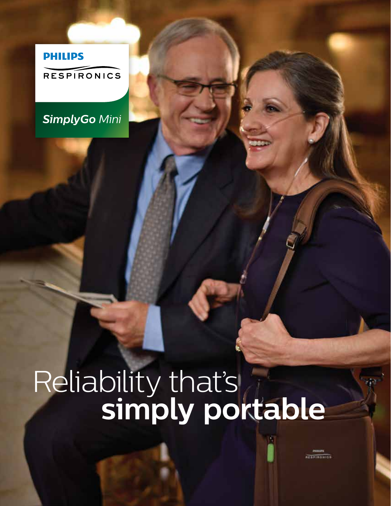**PHILIPS** RESPIRONICS

Key Content *SimplyGo Mini*

# Reliability that's *simply portable*

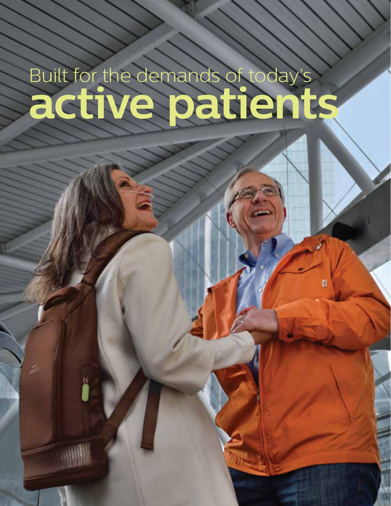# Built for the demands of today's **active patients**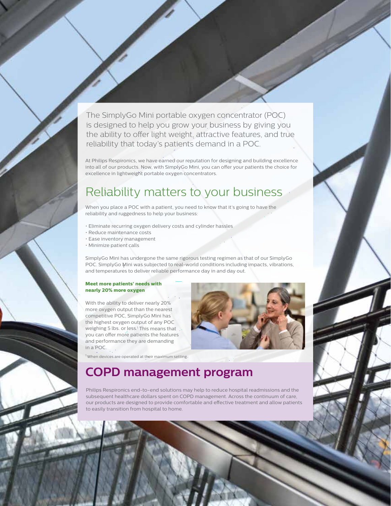The SimplyGo Mini portable oxygen concentrator (POC) is designed to help you grow your business by giving you the ability to offer light weight, attractive features, and true reliability that today's patients demand in a POC.

At Philips Respironics, we have earned our reputation for designing and building excellence into all of our products. Now, with SimplyGo Mini, you can offer your patients the choice for excellence in lightweight portable oxygen concentrators.

## Reliability matters to your business

When you place a POC with a patient, you need to know that it's going to have the reliability and ruggedness to help your business:

- Eliminate recurring oxygen delivery costs and cylinder hassles
- Reduce maintenance costs
- Ease inventory management
- Minimize patient calls

SimplyGo Mini has undergone the same rigorous testing regimen as that of our SimplyGo POC. SimplyGo Mini was subjected to real-world conditions including impacts, vibrations, and temperatures to deliver reliable performance day in and day out.

#### **Meet more patients' needs with nearly 20% more oxygen**

With the ability to deliver nearly 20% more oxygen output than the nearest competitive POC, SimplyGo Mini has the highest oxygen output of any POC weighing 5 lbs. or less.<sup>1</sup> This means that you can offer more patients the features and performance they are demanding in a POC.



<sup>1</sup> When devices are operated at their maximum setting.

### **COPD management program**

Philips Respironics end-to-end solutions may help to reduce hospital readmissions and the subsequent healthcare dollars spent on COPD management. Across the continuum of care, our products are designed to provide comfortable and effective treatment and allow patients to easily transition from hospital to home.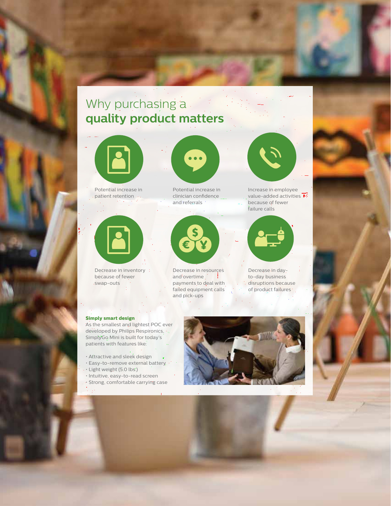# Why purchasing a **quality product matters**



Potential increase in patient retention



Decrease in inventory because of fewer swap-outs



Potential increase in clinician confidence and referrals



Decrease in resources and overtime payments to deal with failed equipment calls and pick-ups



Increase in employee value-added activities because of fewer failure calls



Decrease in dayto-day business disruptions because of product failures

#### **Simply smart design**

As the smallest and lightest POC ever developed by Philips Respironics, SimplyGo Mini is built for today's patients with features like:

- Attractive and sleek design
- Easy-to-remove external battery
- Light weight (5.0 lbs.)
- Intuitive, easy-to-read screen
- Strong, comfortable carrying case



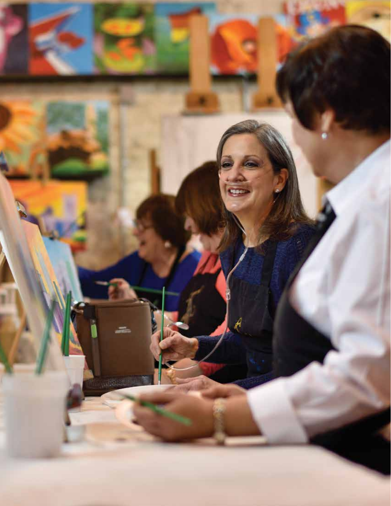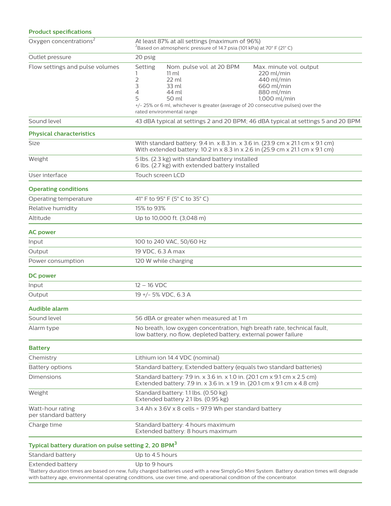#### **Product specifications**

| Oxygen concentrations <sup>2</sup>                               | At least 87% at all settings (maximum of 96%)<br>$\textsuperscript{2}$ Based on atmospheric pressure of 14.7 psia (101 kPa) at 70° F (21° C)                                                                                                                                                    |                                                                                                 |
|------------------------------------------------------------------|-------------------------------------------------------------------------------------------------------------------------------------------------------------------------------------------------------------------------------------------------------------------------------------------------|-------------------------------------------------------------------------------------------------|
| Outlet pressure                                                  | 20 psig                                                                                                                                                                                                                                                                                         |                                                                                                 |
| Flow settings and pulse volumes                                  | Nom. pulse vol. at 20 BPM<br>Setting<br>$11 \mathrm{m}$<br>2<br>$22$ ml<br>3<br>33 ml<br>4<br>44 ml<br>5<br>50 ml<br>+/- 25% or 6 ml, whichever is greater (average of 20 consecutive pulses) over the<br>rated environmental range                                                             | Max. minute vol. output<br>220 ml/min<br>440 ml/min<br>660 ml/min<br>880 ml/min<br>1,000 ml/min |
| Sound level                                                      | 43 dBA typical at settings 2 and 20 BPM; 46 dBA typical at settings 5 and 20 BPM                                                                                                                                                                                                                |                                                                                                 |
| <b>Physical characteristics</b>                                  |                                                                                                                                                                                                                                                                                                 |                                                                                                 |
| Size                                                             | With standard battery: 9.4 in. x 8.3 in. x 3.6 in. (23.9 cm x 21.1 cm x 9.1 cm)<br>With extended battery: 10.2 in x 8.3 in x 2.6 in (25.9 cm x 21.1 cm x 9.1 cm)                                                                                                                                |                                                                                                 |
| Weight                                                           | 5 lbs. (2.3 kg) with standard battery installed<br>6 lbs. (2.7 kg) with extended battery installed                                                                                                                                                                                              |                                                                                                 |
| User interface                                                   | Touch screen LCD                                                                                                                                                                                                                                                                                |                                                                                                 |
| <b>Operating conditions</b>                                      |                                                                                                                                                                                                                                                                                                 |                                                                                                 |
| Operating temperature                                            | 41° F to 95° F (5° C to 35° C)                                                                                                                                                                                                                                                                  |                                                                                                 |
| Relative humidity                                                | 15% to 93%                                                                                                                                                                                                                                                                                      |                                                                                                 |
| Altitude                                                         | Up to 10,000 ft. (3,048 m)                                                                                                                                                                                                                                                                      |                                                                                                 |
| <b>AC power</b>                                                  |                                                                                                                                                                                                                                                                                                 |                                                                                                 |
| Input                                                            | 100 to 240 VAC, 50/60 Hz                                                                                                                                                                                                                                                                        |                                                                                                 |
| Output                                                           | 19 VDC, 6.3 A max                                                                                                                                                                                                                                                                               |                                                                                                 |
| Power consumption                                                | 120 W while charging                                                                                                                                                                                                                                                                            |                                                                                                 |
| <b>DC</b> power                                                  |                                                                                                                                                                                                                                                                                                 |                                                                                                 |
| Input                                                            | $12 - 16$ VDC                                                                                                                                                                                                                                                                                   |                                                                                                 |
| Output                                                           | 19 +/- 5% VDC, 6.3 A                                                                                                                                                                                                                                                                            |                                                                                                 |
| <b>Audible alarm</b>                                             |                                                                                                                                                                                                                                                                                                 |                                                                                                 |
| Sound level                                                      | 56 dBA or greater when measured at 1 m                                                                                                                                                                                                                                                          |                                                                                                 |
| Alarm type                                                       | No breath, low oxygen concentration, high breath rate, technical fault,<br>low battery, no flow, depleted battery, external power failure                                                                                                                                                       |                                                                                                 |
| <b>Battery</b>                                                   |                                                                                                                                                                                                                                                                                                 |                                                                                                 |
| Chemistry                                                        | Lithium ion 14.4 VDC (nominal)                                                                                                                                                                                                                                                                  |                                                                                                 |
| <b>Battery options</b>                                           | Standard battery, Extended battery (equals two standard batteries)                                                                                                                                                                                                                              |                                                                                                 |
| Dimensions                                                       | Standard battery: 7.9 in. x 3.6 in. x 1.0 in. (20.1 cm x 9.1 cm x 2.5 cm)<br>Extended battery: 7.9 in. x 3.6 in. x 1.9 in. (20.1 cm x 9.1 cm x 4.8 cm)                                                                                                                                          |                                                                                                 |
| Weight                                                           | Standard battery: 1.1 lbs. (0.50 kg)<br>Extended battery 2.1 lbs. (0.95 kg)                                                                                                                                                                                                                     |                                                                                                 |
| Watt-hour rating<br>per standard battery                         | 3.4 Ah x 3.6V x 8 cells = 97.9 Wh per standard battery                                                                                                                                                                                                                                          |                                                                                                 |
| Charge time                                                      | Standard battery: 4 hours maximum<br>Extended battery: 8 hours maximum                                                                                                                                                                                                                          |                                                                                                 |
| Typical battery duration on pulse setting 2, 20 BPM <sup>3</sup> |                                                                                                                                                                                                                                                                                                 |                                                                                                 |
| Standard battery                                                 | Up to 4.5 hours                                                                                                                                                                                                                                                                                 |                                                                                                 |
| Extended battery                                                 | Up to 9 hours<br><sup>3</sup> Battery duration times are based on new, fully charged batteries used with a new SimplyGo Mini System. Battery duration times will degrade<br>with battery age, environmental operating conditions, use over time, and operational condition of the concentrator. |                                                                                                 |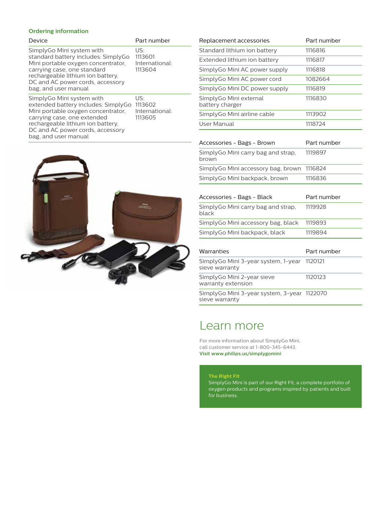#### **Ordering information**

| Device                                                                                                                                                                                                                                 | Part number                                 |
|----------------------------------------------------------------------------------------------------------------------------------------------------------------------------------------------------------------------------------------|---------------------------------------------|
| SimplyGo Mini system with<br>standard battery includes: SimplyGo<br>Mini portable oxygen concentrator,<br>carrying case, one standard<br>rechargeable lithium ion battery.<br>DC and AC power cords, accessory<br>bag, and user manual | US·<br>1113601<br>International:<br>1113604 |
| SimplyGo Mini system with<br>extended battery includes: SimplyGo<br>Mini portable oxygen concentrator,<br>carrying case, one extended<br>rechargeable lithium ion battery,<br>DC and AC power cords, accessory<br>bag, and user manual | US·<br>1113602<br>International:<br>1113605 |



| Replacement accessories                               | Part number |
|-------------------------------------------------------|-------------|
| Standard lithium ion battery                          | 1116816     |
| Extended lithium ion battery                          | 1116817     |
| SimplyGo Mini AC power supply                         | 1116818     |
| SimplyGo Mini AC power cord                           | 1082664     |
| SimplyGo Mini DC power supply                         | 1116819     |
| SimplyGo Mini external<br>battery charger             | 1116830     |
| SimplyGo Mini airline cable                           | 1113902     |
| User Manual                                           | 1118724     |
|                                                       |             |
| Accessories - Bags - Brown                            | Part number |
| SimplyGo Mini carry bag and strap,<br>brown           | 1119897     |
| SimplyGo Mini accessory bag, brown                    | 1116824     |
| SimplyGo Mini backpack, brown                         | 1116836     |
| Accessories - Bags - Black                            | Part number |
| SimplyGo Mini carry bag and strap,<br>black           | 1119928     |
| SimplyGo Mini accessory bag, black                    | 1119893     |
| SimplyGo Mini backpack, black                         | 1119894     |
| Warranties                                            | Part number |
| SimplyGo Mini 3-year system, 1-year<br>sieve warranty | 1120121     |
| SimplyGo Mini 2-year sieve<br>warranty extension      | 1120123     |
| SimplyGo Mini 3-year system, 3-year<br>sieve warranty | 1122070     |
|                                                       |             |

### Learn more

For more information about SimplyGo Mini, call customer service at 1-800-345-6443. **Visit www.philips.us/simplygomini**

#### **The Right Fit**

SimplyGo Mini is part of our Right Fit, a complete portfolio of oxygen products and programs inspired by patients and built for business.